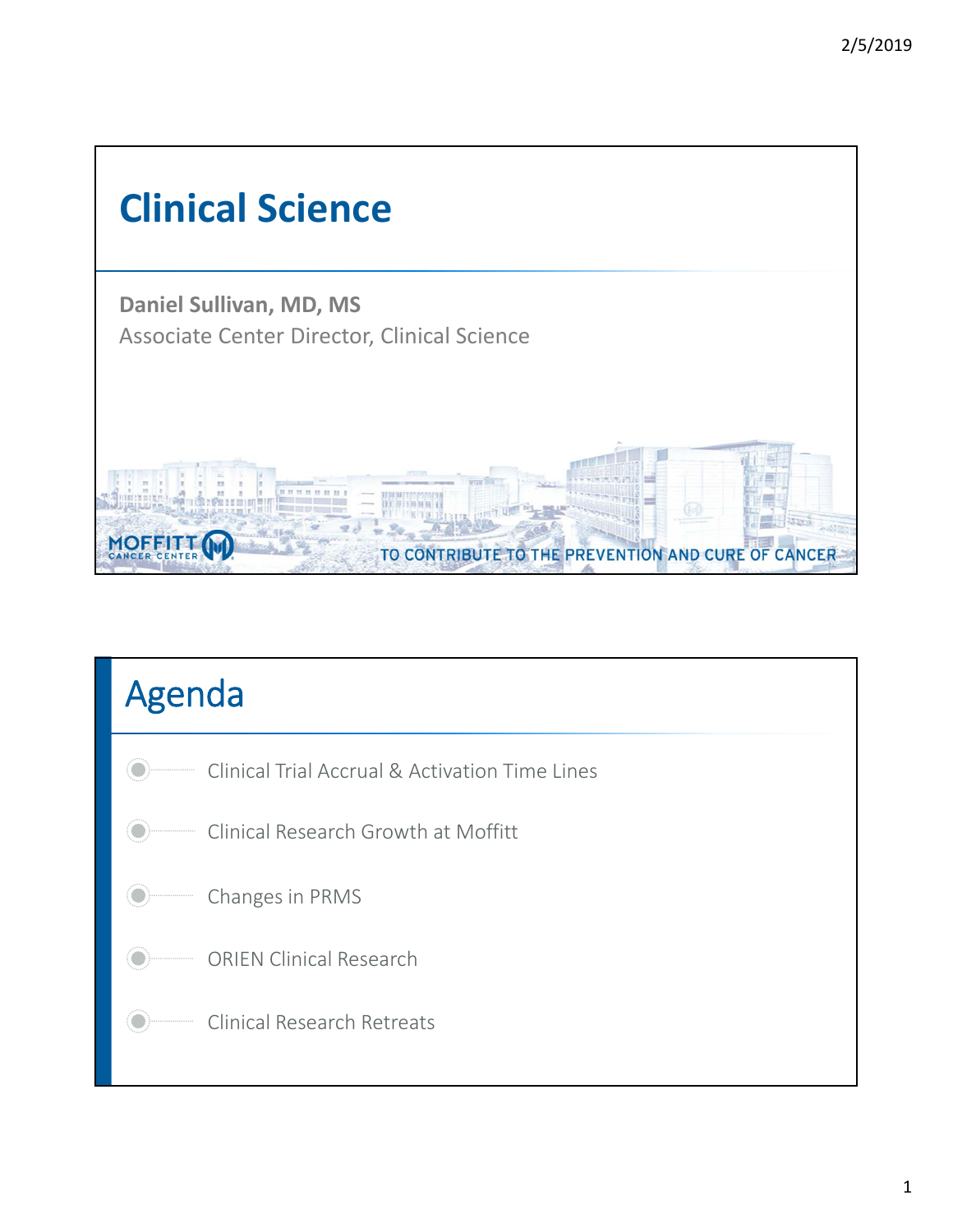

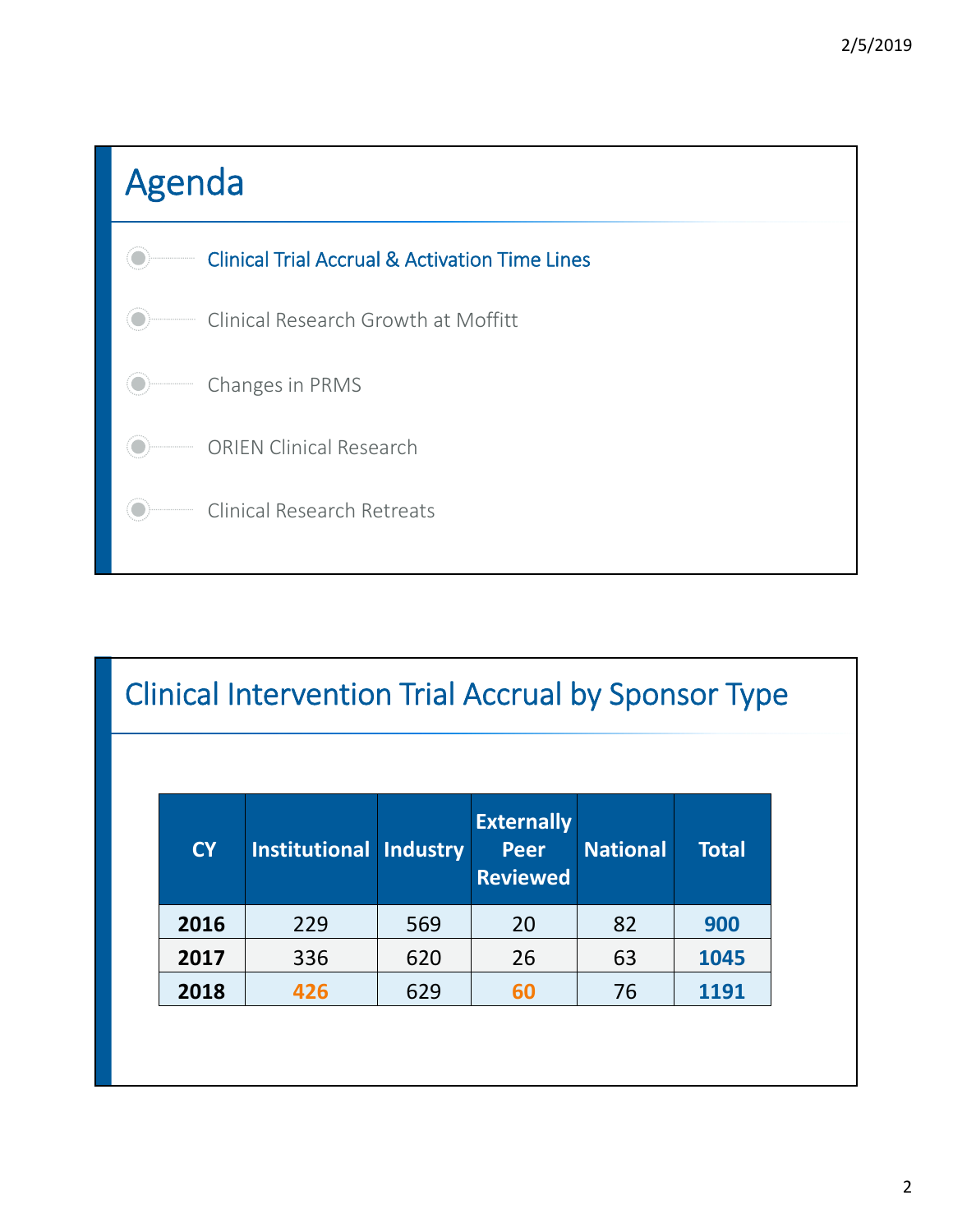

#### Clinical Intervention Trial Accrual by Sponsor Type

| <b>CY</b> | <b>Institutional Industry</b> |     | <b>Externally</b><br><b>Peer</b><br><b>Reviewed</b> | <b>National</b> | <b>Total</b> |
|-----------|-------------------------------|-----|-----------------------------------------------------|-----------------|--------------|
| 2016      | 229                           | 569 | 20                                                  | 82              | 900          |
| 2017      | 336                           | 620 | 26                                                  | 63              | 1045         |
| 2018      | 426                           | 629 | 60                                                  | 76              | 1191         |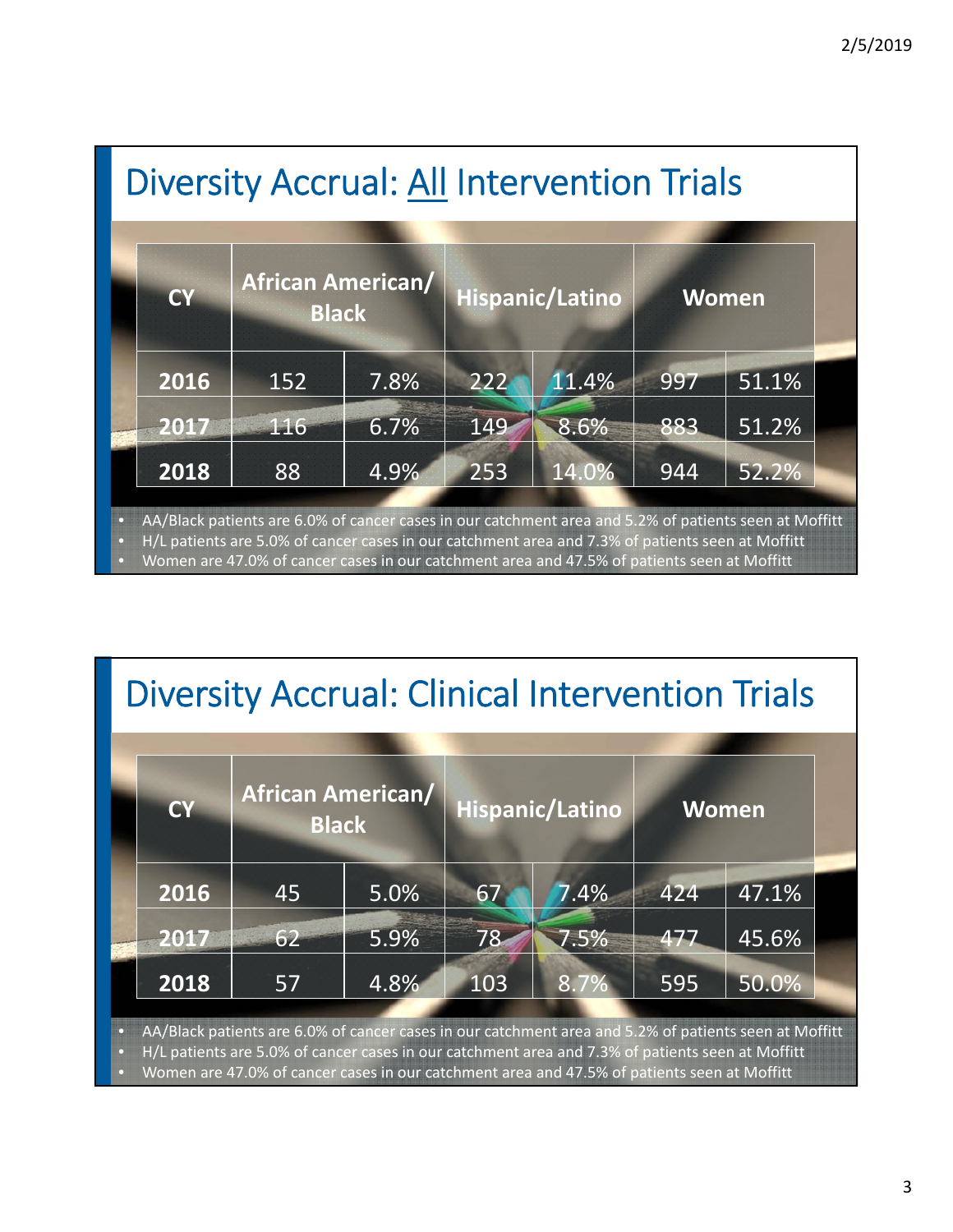|                        | <b>Diversity Accrual: All Intervention Trials</b>                                                                                                                                                                                                                                                        |              |                          |     |                        |              |       |  |  |  |
|------------------------|----------------------------------------------------------------------------------------------------------------------------------------------------------------------------------------------------------------------------------------------------------------------------------------------------------|--------------|--------------------------|-----|------------------------|--------------|-------|--|--|--|
|                        | <b>CY</b>                                                                                                                                                                                                                                                                                                | <b>Black</b> | <b>African American/</b> |     | <b>Hispanic/Latino</b> | <b>Women</b> |       |  |  |  |
|                        | 2016                                                                                                                                                                                                                                                                                                     | 152          | 7.8%                     | 222 | 11.4%                  | 997          | 51.1% |  |  |  |
|                        | 2017                                                                                                                                                                                                                                                                                                     | 116          | 6.7%                     | 149 | 8.6%                   | 883          | 51.2% |  |  |  |
|                        | 2018                                                                                                                                                                                                                                                                                                     | 88           | 4.9%                     | 253 | 14.0%                  | 944          | 52.2% |  |  |  |
| α<br>а<br>$\mathbf{C}$ | AA/Black patients are 6.0% of cancer cases in our catchment area and 5.2% of patients seen at Moffitt<br>H/L patients are 5.0% of cancer cases in our catchment area and 7.3% of patients seen at Moffitt<br>Women are 47.0% of cancer cases in our catchment area and 47.5% of patients seen at Moffitt |              |                          |     |                        |              |       |  |  |  |

## Diversity Accrual: Clinical Intervention Trials

| <b>CY</b> | <b>African American/</b><br><b>Black</b> |      |     | Hispanic/Latino | <b>Women</b> |       |  |
|-----------|------------------------------------------|------|-----|-----------------|--------------|-------|--|
| 2016      | 45                                       | 5.0% | 67  | 7.4%            | 424          | 47.1% |  |
| 2017      | 62                                       | 5.9% | 78  | 7.5%            | 477          | 45.6% |  |
| 2018      | 57                                       | 4.8% | 103 | 8.7%            | 595          | 50.0% |  |

• H/L patients are 5.0% of cancer cases in our catchment area and 7.3% of patients seen at Moffitt

• Women are 47.0% of cancer cases in our catchment area and 47.5% of patients seen at Moffitt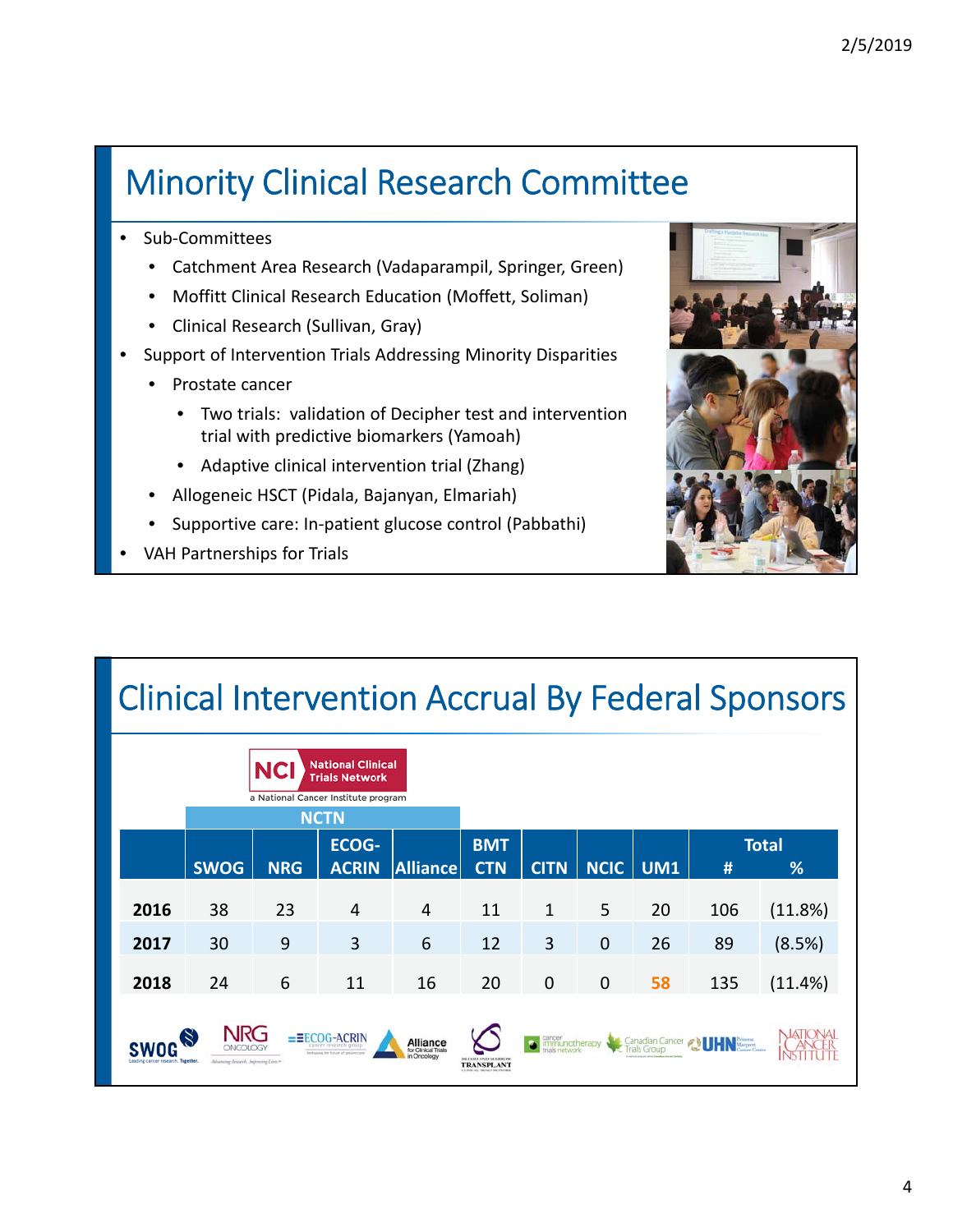### Minority Clinical Research Committee

- Sub-Committees
	- Catchment Area Research (Vadaparampil, Springer, Green)
	- Moffitt Clinical Research Education (Moffett, Soliman)
	- Clinical Research (Sullivan, Gray)
- Support of Intervention Trials Addressing Minority Disparities
	- Prostate cancer
		- Two trials: validation of Decipher test and intervention trial with predictive biomarkers (Yamoah)
		- Adaptive clinical intervention trial (Zhang)
	- Allogeneic HSCT (Pidala, Bajanyan, Elmariah)
	- Supportive care: In‐patient glucose control (Pabbathi)
- VAH Partnerships for Trials



# Clinical Intervention Accrual By Federal Sponsors

|                                                                                                                                                                                                                                                                                                                                                                                                                                                                                            |    | <b>NCI</b> | <b>National Clinical</b><br><b>Trials Network</b><br>a National Cancer Institute program |                |                          |              |             |            |     |                   |
|--------------------------------------------------------------------------------------------------------------------------------------------------------------------------------------------------------------------------------------------------------------------------------------------------------------------------------------------------------------------------------------------------------------------------------------------------------------------------------------------|----|------------|------------------------------------------------------------------------------------------|----------------|--------------------------|--------------|-------------|------------|-----|-------------------|
| <b>NCTN</b><br><b>ECOG-</b><br><b>SWOG</b><br><b>Alliance</b><br><b>ACRIN</b><br><b>NRG</b>                                                                                                                                                                                                                                                                                                                                                                                                |    |            |                                                                                          |                | <b>BMT</b><br><b>CTN</b> | <b>CITN</b>  | NCIC        | <b>UM1</b> | #   | <b>Total</b><br>% |
| 2016                                                                                                                                                                                                                                                                                                                                                                                                                                                                                       | 38 | 23         | 4                                                                                        | $\overline{4}$ | 11                       | $\mathbf{1}$ | 5           | 20         | 106 | (11.8%)           |
| 2017                                                                                                                                                                                                                                                                                                                                                                                                                                                                                       | 30 | 9          | 3                                                                                        | 6              | 12                       | 3            | $\mathbf 0$ | 26         | 89  | (8.5%)            |
| 2018                                                                                                                                                                                                                                                                                                                                                                                                                                                                                       | 24 | 6          | 11                                                                                       | 16             | 20                       | $\mathbf 0$  | $\mathbf 0$ | 58         | 135 | (11.4%)           |
| <b>NRG</b><br>$\left[\right. \times\right]$<br><b>G-ACRIN</b><br>-2<br>cancer<br>immunotherapy<br>Canadian Cancer<br><b>Alliance</b><br>for Clinical Trials<br>cancer research group<br>1als Group<br>atteer Centre<br>Reshaping the future of patient care<br>in Oncology<br>A cultured product of the Canadian Cannon Statisti<br><b>BLOOD AND MARROW</b><br>Leading cancer research. Together,<br>Advening Reservit. Improving Lives.16<br><b>TRANSPLANT</b><br>EXPERIAL ENDER PARTNERS |    |            |                                                                                          |                |                          |              |             |            |     |                   |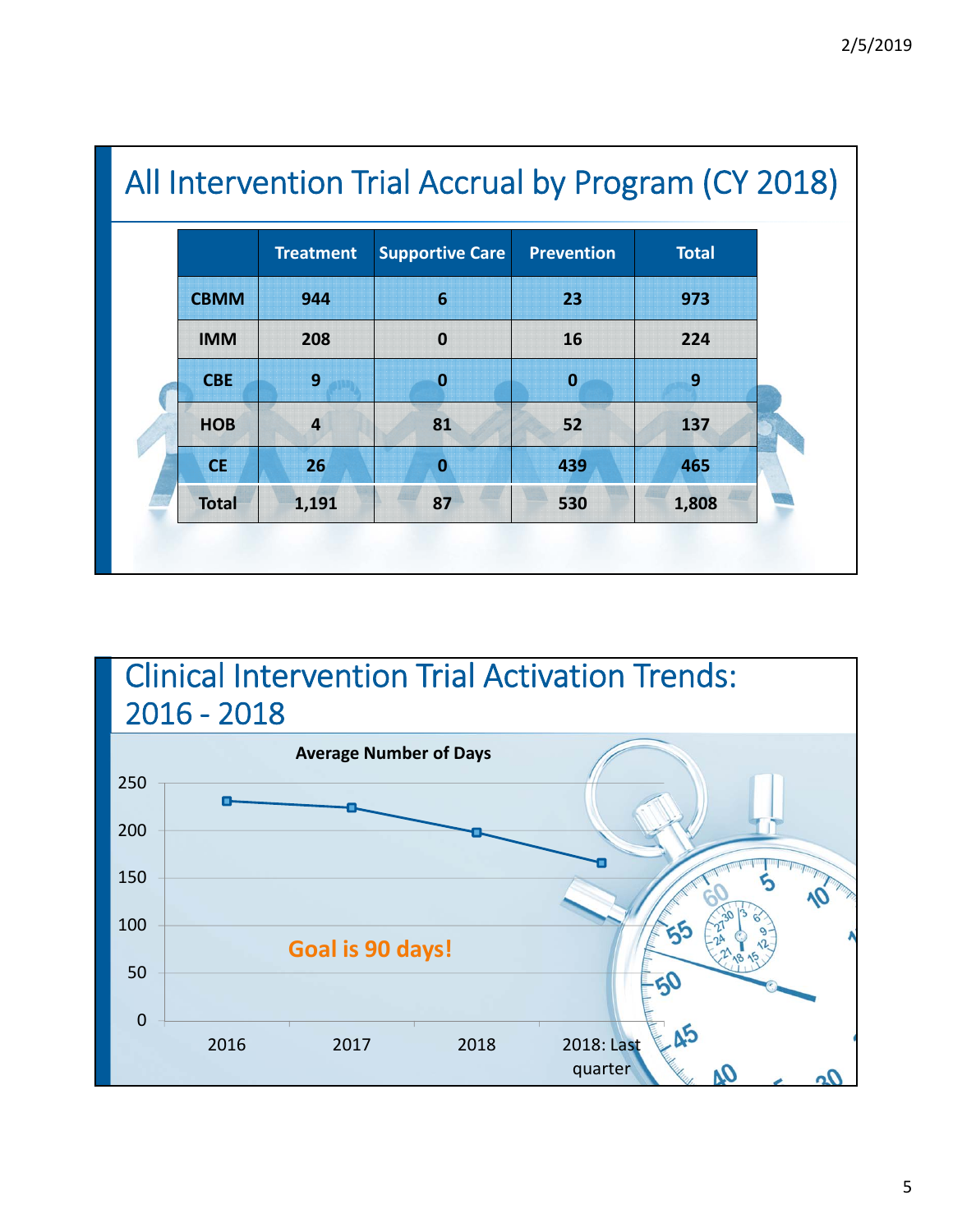|              | <b>Treatment</b> | <b>Supportive Care</b> | <b>Prevention</b> | <b>Total</b> |
|--------------|------------------|------------------------|-------------------|--------------|
| <b>CBMM</b>  | 944              | 6                      | 23                | 973          |
| <b>IMM</b>   | 208              | $\mathbf 0$            | 16                | 224          |
| <b>CBE</b>   | 9                | $\bf{0}$               | $\bf{0}$          | 9            |
| <b>HOB</b>   | $\overline{4}$   | 81                     | 52                | 137          |
| <b>CE</b>    | 26               | $\bf{0}$               | 439               | 465          |
| <b>Total</b> | 1,191            | 87                     | 530               | 1,808        |

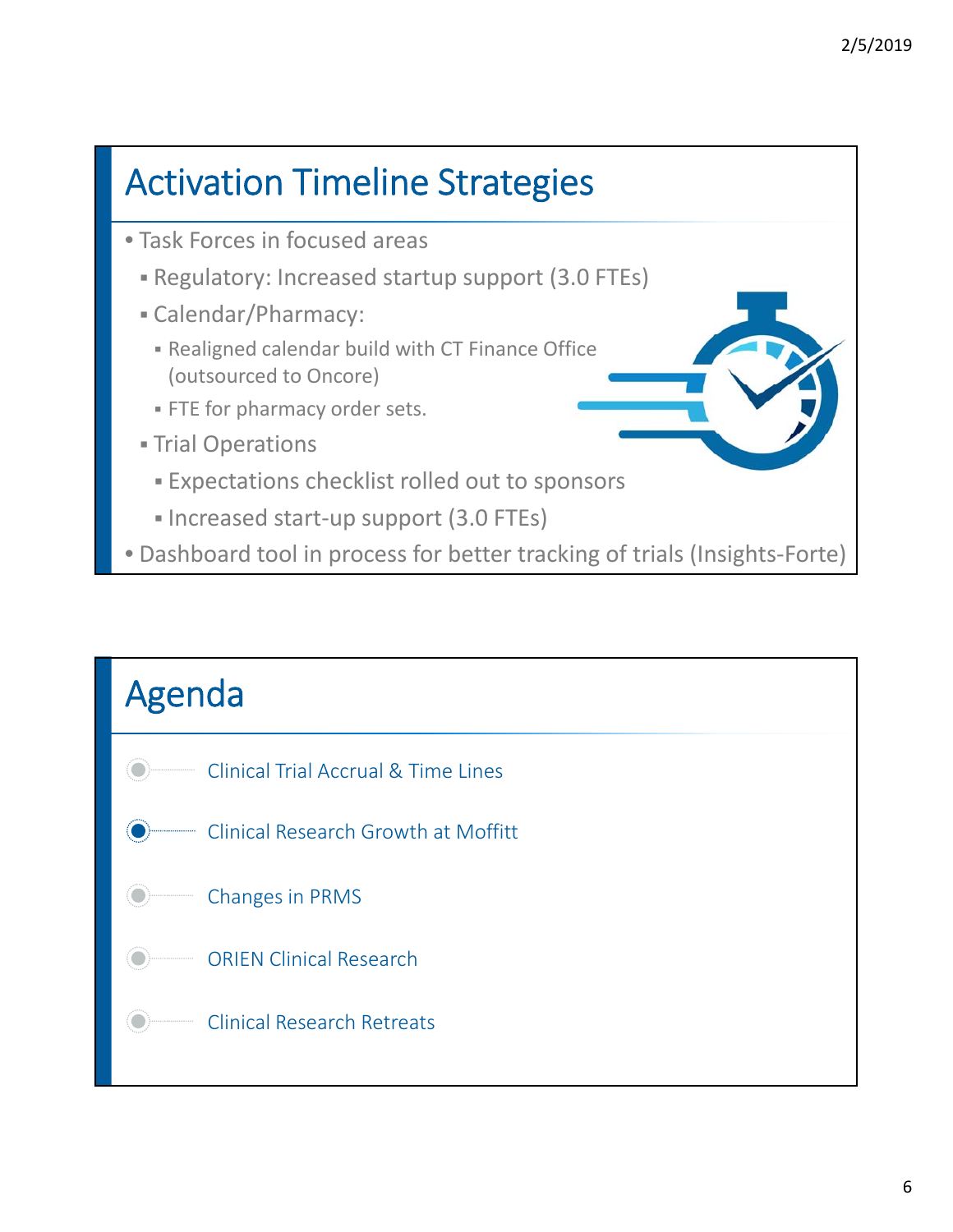

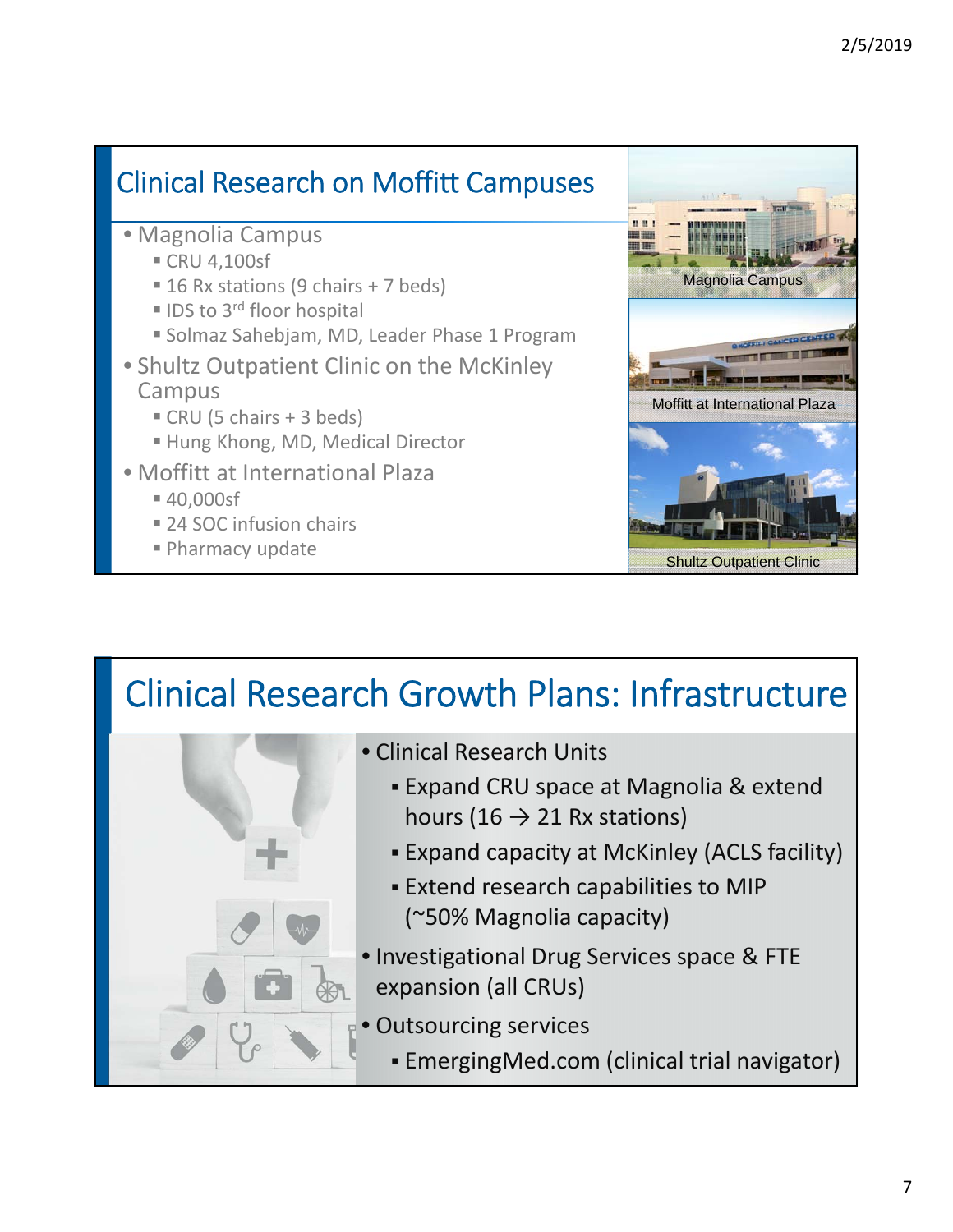#### Clinical Research on Moffitt Campuses

- Magnolia Campus
	- CRU 4,100sf
	- $\blacksquare$  16 Rx stations (9 chairs + 7 beds)
	- $\blacksquare$  IDS to 3<sup>rd</sup> floor hospital
	- **Solmaz Sahebjam, MD, Leader Phase 1 Program**
- Shultz Outpatient Clinic on the McKinley Campus
	- $\blacksquare$  CRU (5 chairs + 3 beds)
	- Hung Khong, MD, Medical Director
- Moffitt at International Plaza
	- 40,000sf
	- 24 SOC infusion chairs
	-



## Clinical Research Growth Plans: Infrastructure



- Clinical Research Units
	- Expand CRU space at Magnolia & extend hours (16  $\rightarrow$  21 Rx stations)
	- Expand capacity at McKinley (ACLS facility)
	- Extend research capabilities to MIP (~50% Magnolia capacity)
- Investigational Drug Services space & FTE expansion (all CRUs)
- Outsourcing services
	- EmergingMed.com (clinical trial navigator)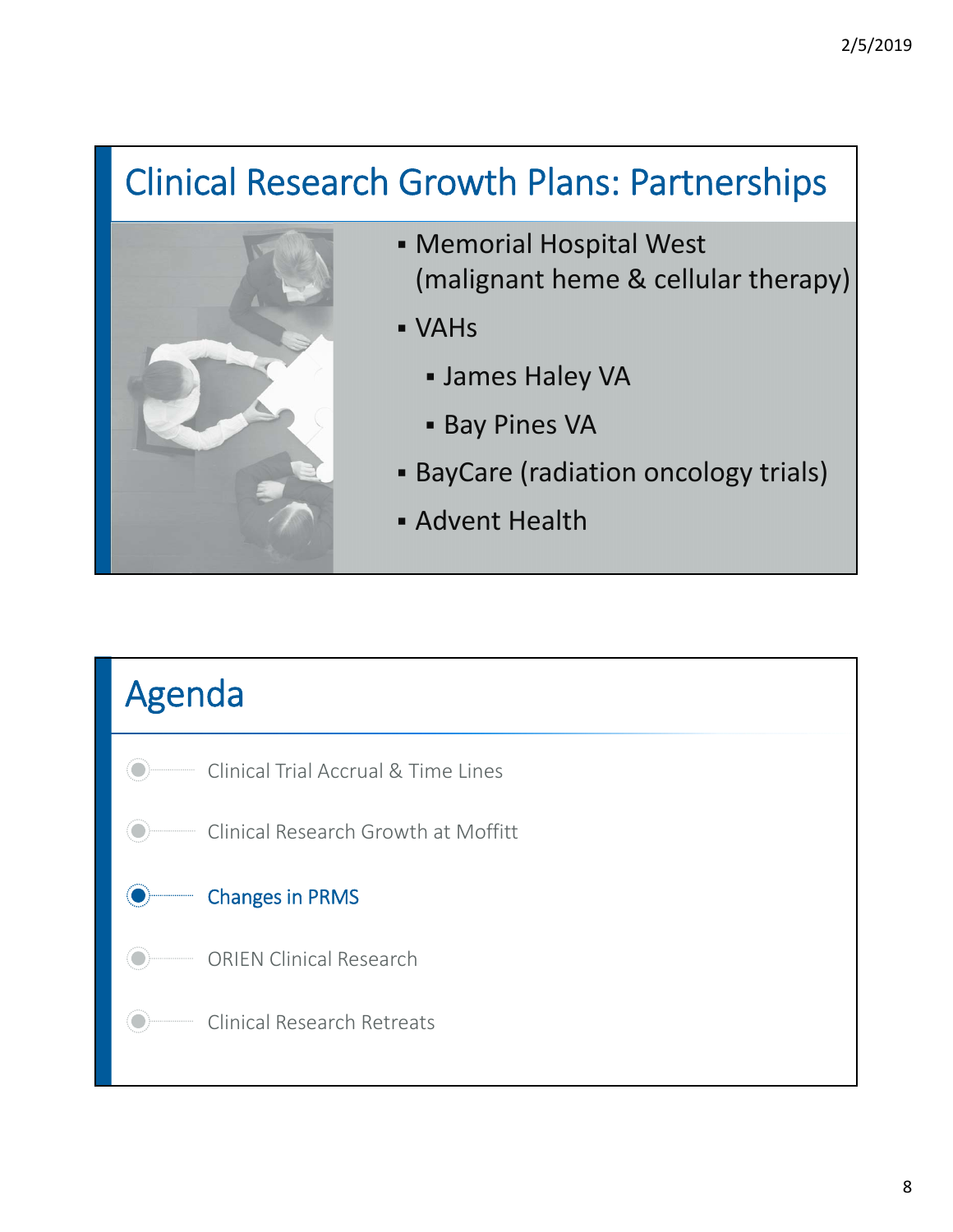## Clinical Research Growth Plans: Partnerships



- Memorial Hospital West (malignant heme & cellular therapy)
- VAHs
	- James Haley VA
	- **Bay Pines VA**
- **BayCare (radiation oncology trials)**
- Advent Health

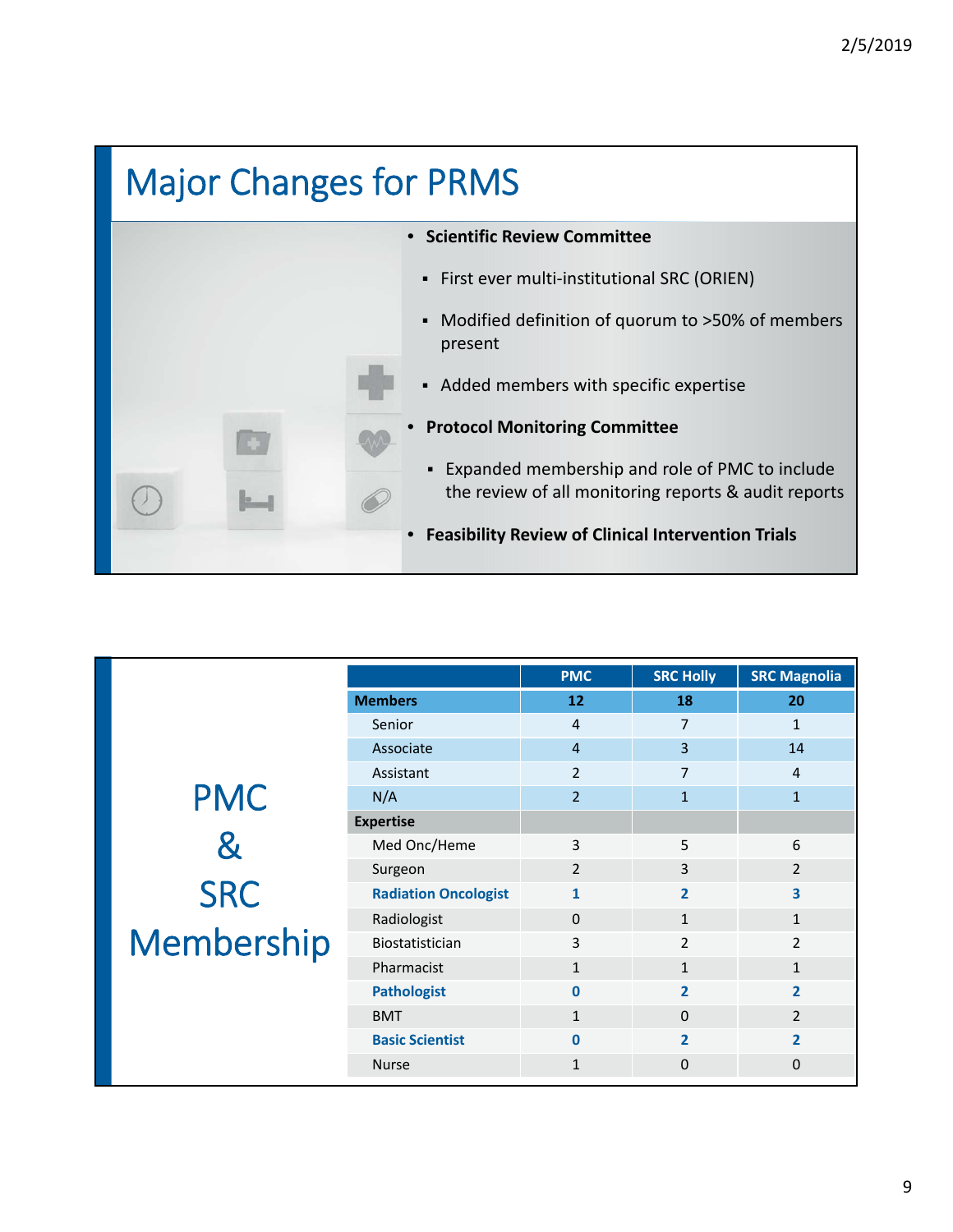## Major Changes for PRMS • **Scientific Review Committee** ■ First ever multi-institutional SRC (ORIEN) Modified definition of quorum to >50% of members present Added members with specific expertise • **Protocol Monitoring Committee** Expanded membership and role of PMC to include the review of all monitoring reports & audit reports • **Feasibility Review of Clinical Intervention Trials**

|                   |                             | <b>PMC</b>     | <b>SRC Holly</b> | <b>SRC Magnolia</b> |
|-------------------|-----------------------------|----------------|------------------|---------------------|
|                   | <b>Members</b>              | 12             | 18               | 20                  |
|                   | Senior                      | $\overline{4}$ | $\overline{7}$   | $\mathbf{1}$        |
|                   | Associate                   | $\overline{4}$ | 3                | 14                  |
|                   | Assistant                   | $\overline{2}$ | 7                | 4                   |
| <b>PMC</b>        | N/A                         | $\overline{2}$ | $\mathbf{1}$     | $\mathbf{1}$        |
|                   | <b>Expertise</b>            |                |                  |                     |
| &                 | Med Onc/Heme                | 3              | 5                | 6                   |
|                   | Surgeon                     | $\overline{2}$ | $\overline{3}$   | $\overline{2}$      |
| SRC<br>Membership | <b>Radiation Oncologist</b> | $\mathbf{1}$   | $\overline{2}$   | 3                   |
|                   | Radiologist                 | $\Omega$       | $\mathbf{1}$     | $\mathbf{1}$        |
|                   | <b>Biostatistician</b>      | 3              | $\overline{2}$   | $\overline{2}$      |
|                   | Pharmacist                  | $\mathbf{1}$   | $\mathbf{1}$     | $\mathbf{1}$        |
|                   | <b>Pathologist</b>          | $\mathbf{0}$   | $\overline{2}$   | $\overline{2}$      |
|                   | <b>BMT</b>                  | $\mathbf{1}$   | $\Omega$         | $\overline{2}$      |
|                   | <b>Basic Scientist</b>      | $\mathbf{0}$   | $\overline{2}$   | $\overline{2}$      |
|                   | <b>Nurse</b>                | $\mathbf{1}$   | $\Omega$         | $\Omega$            |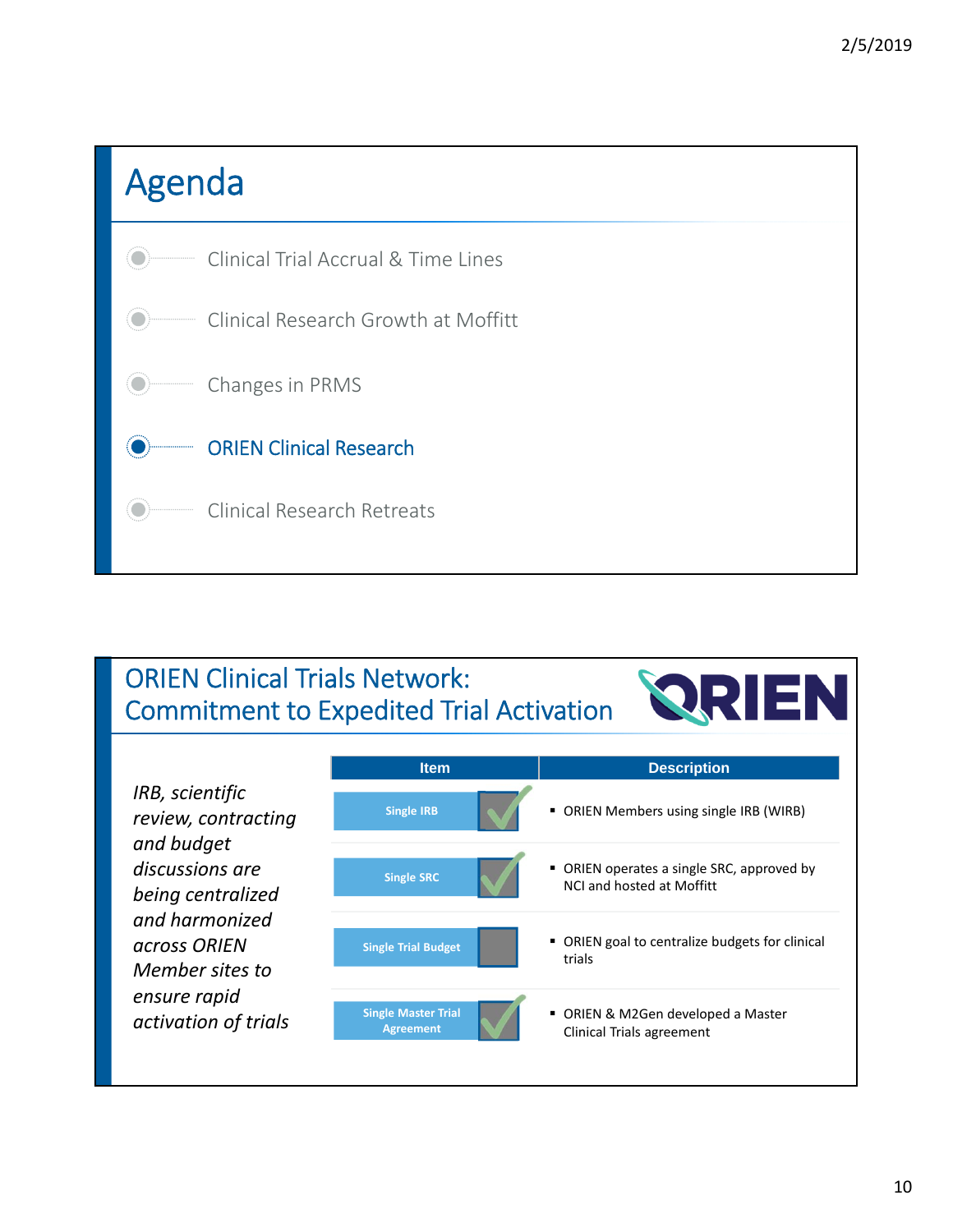

#### ORIEN Clinical Trials Network: Commitment to Expedited Trial Activation

|                                                      | <b>Item</b>                                    | <b>Description</b>                                                    |
|------------------------------------------------------|------------------------------------------------|-----------------------------------------------------------------------|
| IRB, scientific<br>review, contracting<br>and budget | <b>Single IRB</b>                              | • ORIEN Members using single IRB (WIRB)                               |
| discussions are<br>being centralized                 | <b>Single SRC</b>                              | ORIEN operates a single SRC, approved by<br>NCL and hosted at Moffitt |
| and harmonized<br>across ORIEN<br>Member sites to    | <b>Single Trial Budget</b>                     | • ORIEN goal to centralize budgets for clinical<br>trials             |
| ensure rapid<br>activation of trials                 | <b>Single Master Trial</b><br><b>Agreement</b> | • ORIEN & M2Gen developed a Master<br>Clinical Trials agreement       |

*<u>RRIEN</u>*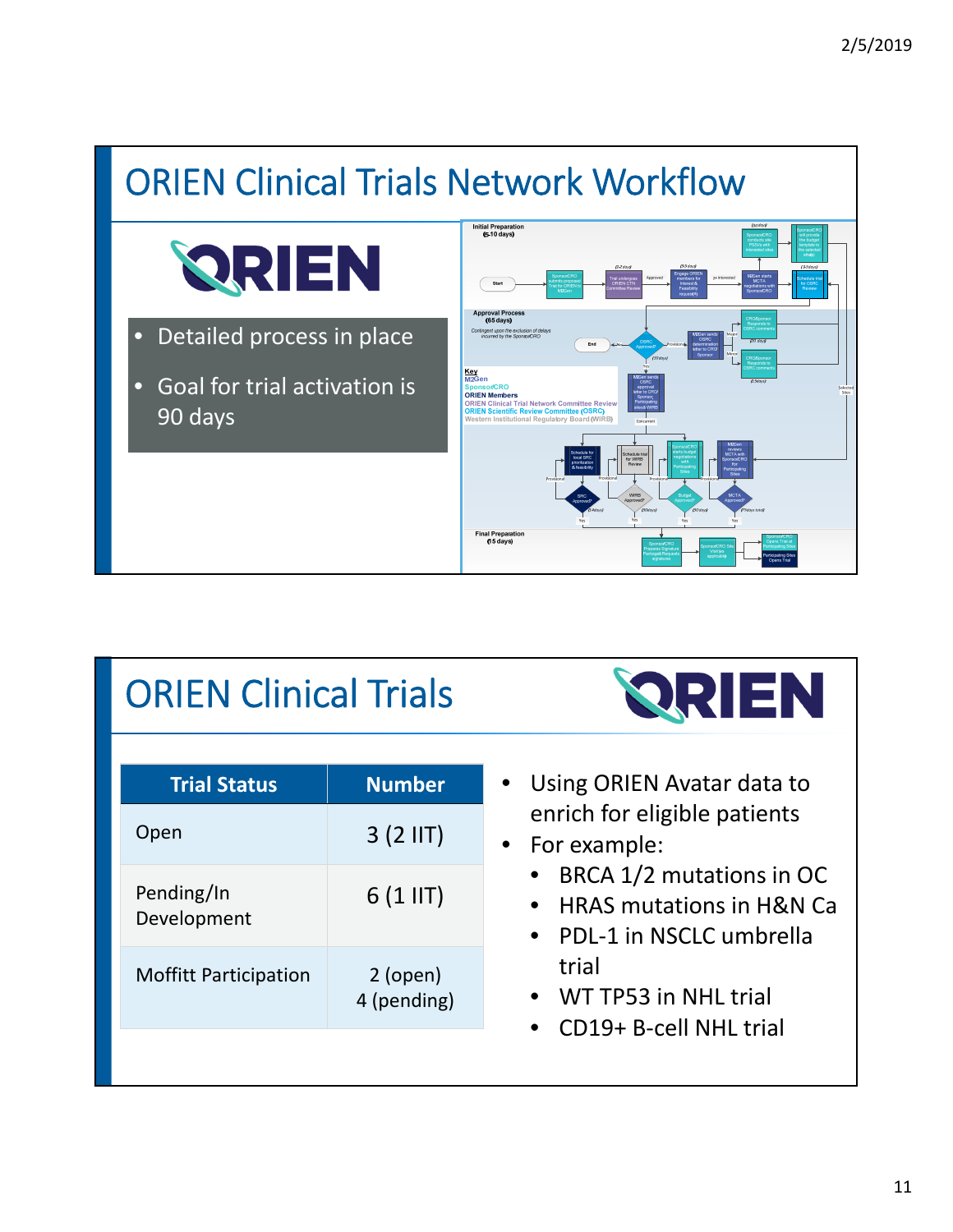

## ORIEN Clinical Trials

| <b>Trial Status</b>          | <b>Number</b>             |
|------------------------------|---------------------------|
| Open                         | $3(2$ IIT)                |
| Pending/In<br>Development    | $6(1$ IIT)                |
| <b>Moffitt Participation</b> | $2$ (open)<br>4 (pending) |
|                              |                           |



- Using ORIEN Avatar data to enrich for eligible patients
- For example:
	- BRCA 1/2 mutations in OC
	- HRAS mutations in H&N Ca
	- PDL‐1 in NSCLC umbrella trial
	- WT TP53 in NHL trial
	- CD19+ B‐cell NHL trial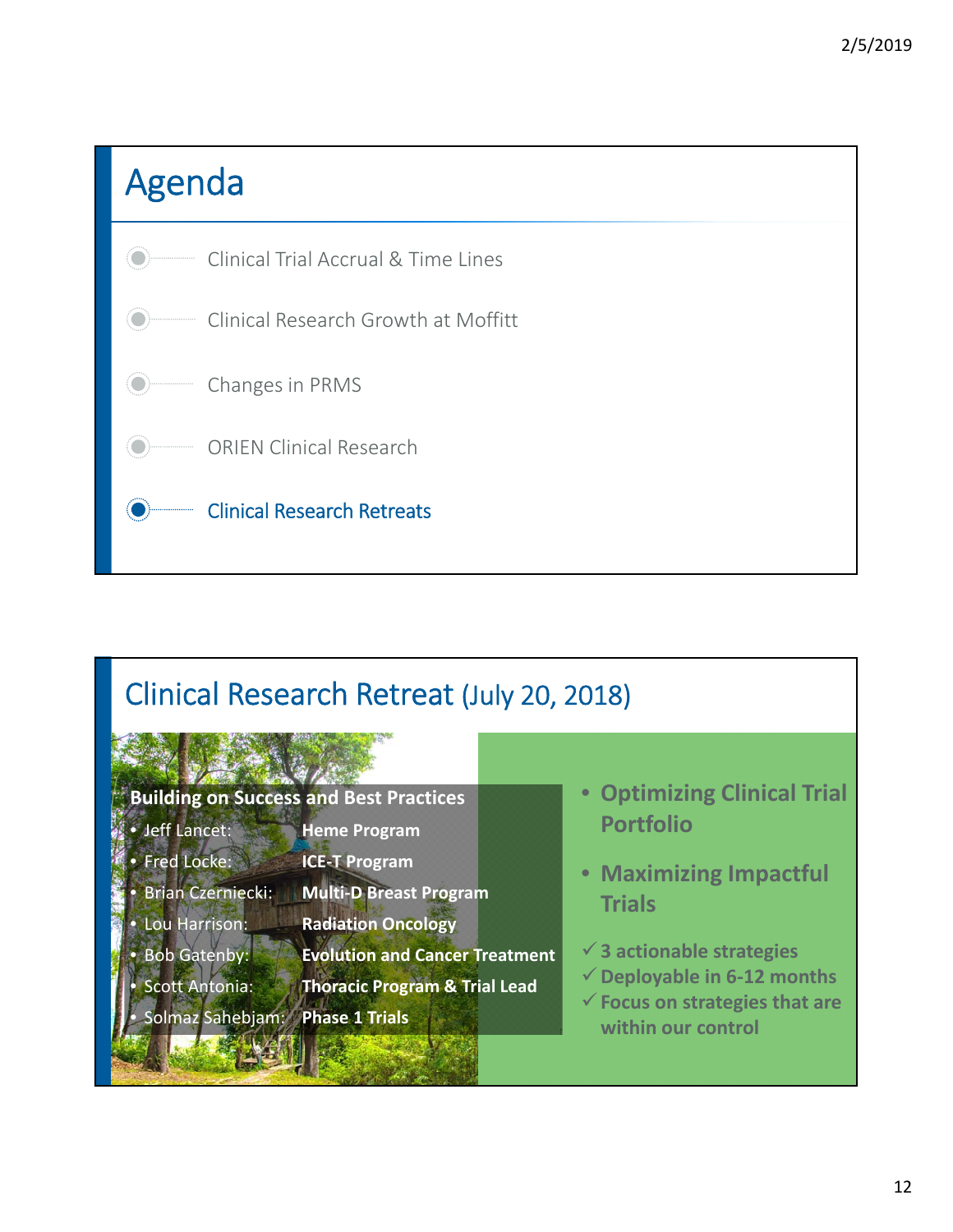

#### Clinical Research Retreat (July 20, 2018)



- Jeff Lancet: **Heme Program**
- Fred Locke: **ICE‐T Program**
- Brian Czerniecki: **Multi‐D Breast Program**
	- Lou Harrison: **Radiation Oncology**
	- Bob Gatenby: **Evolution and Cancer Treatment**
- 
- Scott Antonia: **Thoracic Program & Trial Lead**
- Solmaz Sahebjam: **Phase 1 Trials**
- **Optimizing Clinical Trial Portfolio**
- **Maximizing Impactful Trials**
- **3 actionable strategies**
- **Deployable in 6‐12 months**
- **Focus on strategies that are within our control**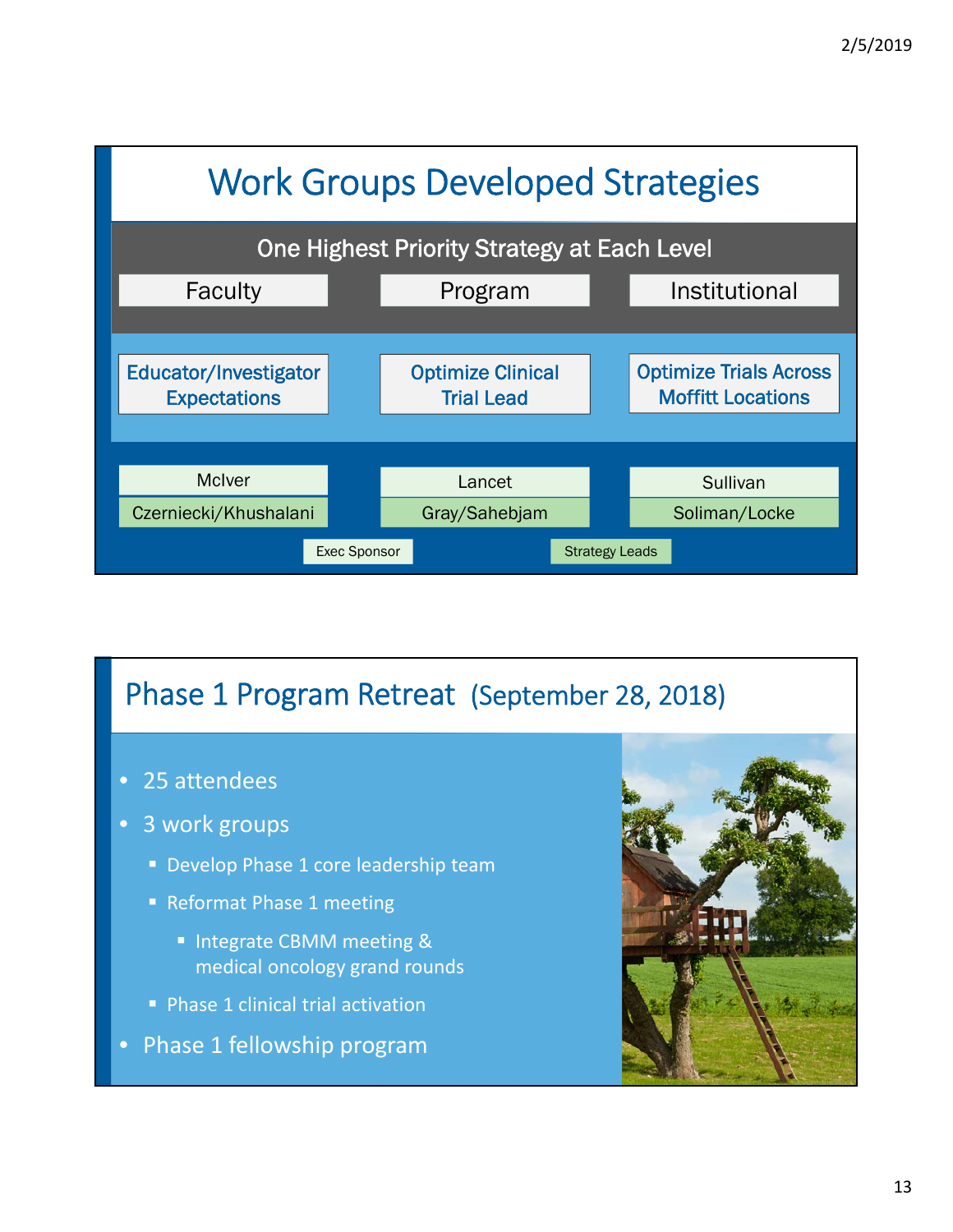

#### Phase 1 Program Retreat (September 28, 2018)

- 25 attendees
- 3 work groups
	- Develop Phase 1 core leadership team
	- Reformat Phase 1 meeting
		- **Integrate CBMM meeting &** medical oncology grand rounds
	- **Phase 1 clinical trial activation**
- Phase 1 fellowship program